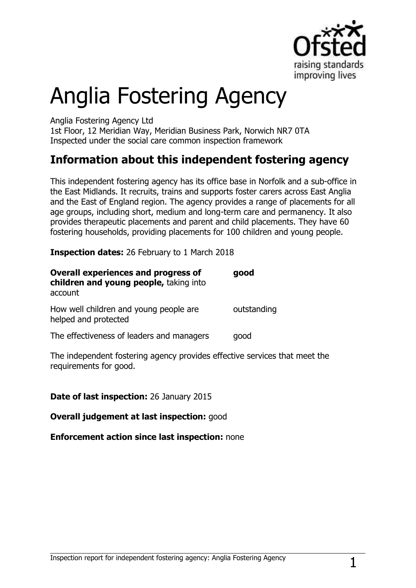

# Anglia Fostering Agency

Anglia Fostering Agency Ltd

1st Floor, 12 Meridian Way, Meridian Business Park, Norwich NR7 0TA Inspected under the social care common inspection framework

## **Information about this independent fostering agency**

This independent fostering agency has its office base in Norfolk and a sub-office in the East Midlands. It recruits, trains and supports foster carers across East Anglia and the East of England region. The agency provides a range of placements for all age groups, including short, medium and long-term care and permanency. It also provides therapeutic placements and parent and child placements. They have 60 fostering households, providing placements for 100 children and young people.

**Inspection dates:** 26 February to 1 March 2018

| <b>Overall experiences and progress of</b><br>children and young people, taking into<br>account | good        |
|-------------------------------------------------------------------------------------------------|-------------|
| How well children and young people are<br>helped and protected                                  | outstanding |
| The effectiveness of leaders and managers                                                       | qood        |

The independent fostering agency provides effective services that meet the requirements for good.

## **Date of last inspection:** 26 January 2015

**Overall judgement at last inspection:** good

**Enforcement action since last inspection:** none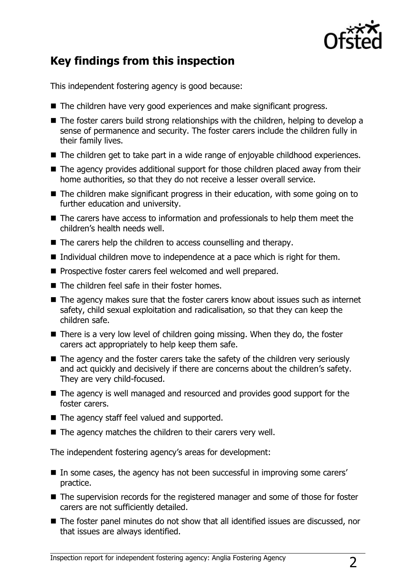

# **Key findings from this inspection**

This independent fostering agency is good because:

- The children have very good experiences and make significant progress.
- The foster carers build strong relationships with the children, helping to develop a sense of permanence and security. The foster carers include the children fully in their family lives.
- The children get to take part in a wide range of enjoyable childhood experiences.
- The agency provides additional support for those children placed away from their home authorities, so that they do not receive a lesser overall service.
- The children make significant progress in their education, with some going on to further education and university.
- The carers have access to information and professionals to help them meet the children's health needs well.
- The carers help the children to access counselling and therapy.
- Individual children move to independence at a pace which is right for them.
- Prospective foster carers feel welcomed and well prepared.
- The children feel safe in their foster homes.
- The agency makes sure that the foster carers know about issues such as internet safety, child sexual exploitation and radicalisation, so that they can keep the children safe.
- There is a very low level of children going missing. When they do, the foster carers act appropriately to help keep them safe.
- The agency and the foster carers take the safety of the children very seriously and act quickly and decisively if there are concerns about the children's safety. They are very child-focused.
- The agency is well managed and resourced and provides good support for the foster carers.
- The agency staff feel valued and supported.
- $\blacksquare$  The agency matches the children to their carers very well.

The independent fostering agency's areas for development:

- In some cases, the agency has not been successful in improving some carers' practice.
- The supervision records for the registered manager and some of those for foster carers are not sufficiently detailed.
- The foster panel minutes do not show that all identified issues are discussed, nor that issues are always identified.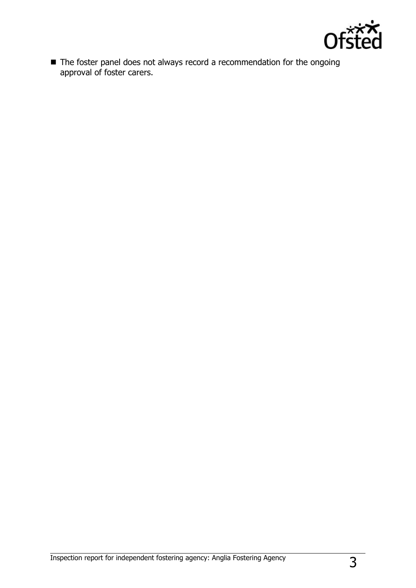

■ The foster panel does not always record a recommendation for the ongoing approval of foster carers.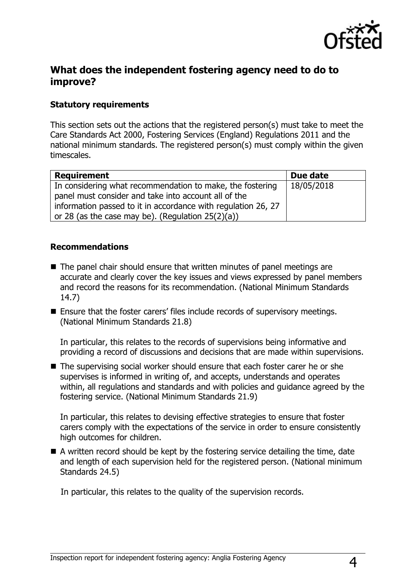

## **What does the independent fostering agency need to do to improve?**

#### **Statutory requirements**

This section sets out the actions that the registered person(s) must take to meet the Care Standards Act 2000, Fostering Services (England) Regulations 2011 and the national minimum standards. The registered person(s) must comply within the given timescales.

| <b>Requirement</b>                                            | Due date   |
|---------------------------------------------------------------|------------|
| In considering what recommendation to make, the fostering     | 18/05/2018 |
| panel must consider and take into account all of the          |            |
| information passed to it in accordance with regulation 26, 27 |            |
| or 28 (as the case may be). (Regulation $25(2)(a)$ )          |            |

#### **Recommendations**

- The panel chair should ensure that written minutes of panel meetings are accurate and clearly cover the key issues and views expressed by panel members and record the reasons for its recommendation. (National Minimum Standards 14.7)
- Ensure that the foster carers' files include records of supervisory meetings. (National Minimum Standards 21.8)

In particular, this relates to the records of supervisions being informative and providing a record of discussions and decisions that are made within supervisions.

■ The supervising social worker should ensure that each foster carer he or she supervises is informed in writing of, and accepts, understands and operates within, all regulations and standards and with policies and guidance agreed by the fostering service. (National Minimum Standards 21.9)

In particular, this relates to devising effective strategies to ensure that foster carers comply with the expectations of the service in order to ensure consistently high outcomes for children.

■ A written record should be kept by the fostering service detailing the time, date and length of each supervision held for the registered person. (National minimum Standards 24.5)

In particular, this relates to the quality of the supervision records.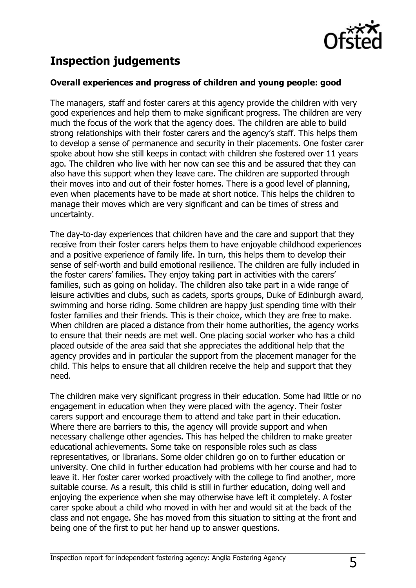

# **Inspection judgements**

### **Overall experiences and progress of children and young people: good**

The managers, staff and foster carers at this agency provide the children with very good experiences and help them to make significant progress. The children are very much the focus of the work that the agency does. The children are able to build strong relationships with their foster carers and the agency's staff. This helps them to develop a sense of permanence and security in their placements. One foster carer spoke about how she still keeps in contact with children she fostered over 11 years ago. The children who live with her now can see this and be assured that they can also have this support when they leave care. The children are supported through their moves into and out of their foster homes. There is a good level of planning, even when placements have to be made at short notice. This helps the children to manage their moves which are very significant and can be times of stress and uncertainty.

The day-to-day experiences that children have and the care and support that they receive from their foster carers helps them to have enjoyable childhood experiences and a positive experience of family life. In turn, this helps them to develop their sense of self-worth and build emotional resilience. The children are fully included in the foster carers' families. They enjoy taking part in activities with the carers' families, such as going on holiday. The children also take part in a wide range of leisure activities and clubs, such as cadets, sports groups, Duke of Edinburgh award, swimming and horse riding. Some children are happy just spending time with their foster families and their friends. This is their choice, which they are free to make. When children are placed a distance from their home authorities, the agency works to ensure that their needs are met well. One placing social worker who has a child placed outside of the area said that she appreciates the additional help that the agency provides and in particular the support from the placement manager for the child. This helps to ensure that all children receive the help and support that they need.

The children make very significant progress in their education. Some had little or no engagement in education when they were placed with the agency. Their foster carers support and encourage them to attend and take part in their education. Where there are barriers to this, the agency will provide support and when necessary challenge other agencies. This has helped the children to make greater educational achievements. Some take on responsible roles such as class representatives, or librarians. Some older children go on to further education or university. One child in further education had problems with her course and had to leave it. Her foster carer worked proactively with the college to find another, more suitable course. As a result, this child is still in further education, doing well and enjoying the experience when she may otherwise have left it completely. A foster carer spoke about a child who moved in with her and would sit at the back of the class and not engage. She has moved from this situation to sitting at the front and being one of the first to put her hand up to answer questions.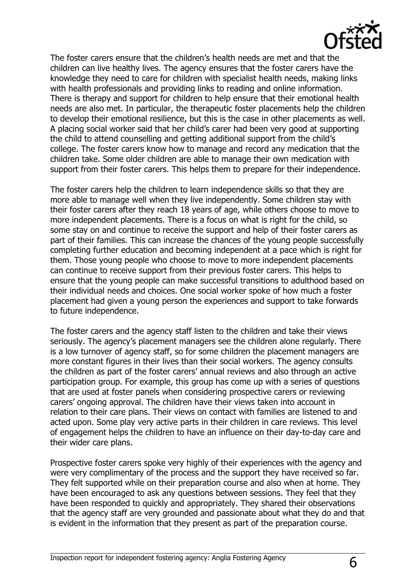

The foster carers ensure that the children's health needs are met and that the children can live healthy lives. The agency ensures that the foster carers have the knowledge they need to care for children with specialist health needs, making links with health professionals and providing links to reading and online information. There is therapy and support for children to help ensure that their emotional health needs are also met. In particular, the therapeutic foster placements help the children to develop their emotional resilience, but this is the case in other placements as well. A placing social worker said that her child's carer had been very good at supporting the child to attend counselling and getting additional support from the child's college. The foster carers know how to manage and record any medication that the children take. Some older children are able to manage their own medication with support from their foster carers. This helps them to prepare for their independence.

The foster carers help the children to learn independence skills so that they are more able to manage well when they live independently. Some children stay with their foster carers after they reach 18 years of age, while others choose to move to more independent placements. There is a focus on what is right for the child, so some stay on and continue to receive the support and help of their foster carers as part of their families. This can increase the chances of the young people successfully completing further education and becoming independent at a pace which is right for them. Those young people who choose to move to more independent placements can continue to receive support from their previous foster carers. This helps to ensure that the young people can make successful transitions to adulthood based on their individual needs and choices. One social worker spoke of how much a foster placement had given a young person the experiences and support to take forwards to future independence.

The foster carers and the agency staff listen to the children and take their views seriously. The agency's placement managers see the children alone regularly. There is a low turnover of agency staff, so for some children the placement managers are more constant figures in their lives than their social workers. The agency consults the children as part of the foster carers' annual reviews and also through an active participation group. For example, this group has come up with a series of questions that are used at foster panels when considering prospective carers or reviewing carers' ongoing approval. The children have their views taken into account in relation to their care plans. Their views on contact with families are listened to and acted upon. Some play very active parts in their children in care reviews. This level of engagement helps the children to have an influence on their day-to-day care and their wider care plans.

Prospective foster carers spoke very highly of their experiences with the agency and were very complimentary of the process and the support they have received so far. They felt supported while on their preparation course and also when at home. They have been encouraged to ask any questions between sessions. They feel that they have been responded to quickly and appropriately. They shared their observations that the agency staff are very grounded and passionate about what they do and that is evident in the information that they present as part of the preparation course.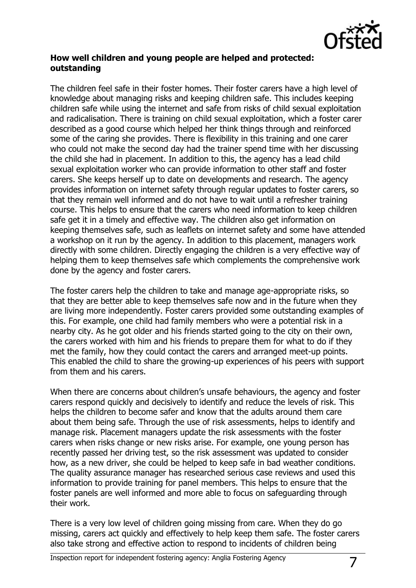

### **How well children and young people are helped and protected: outstanding**

The children feel safe in their foster homes. Their foster carers have a high level of knowledge about managing risks and keeping children safe. This includes keeping children safe while using the internet and safe from risks of child sexual exploitation and radicalisation. There is training on child sexual exploitation, which a foster carer described as a good course which helped her think things through and reinforced some of the caring she provides. There is flexibility in this training and one carer who could not make the second day had the trainer spend time with her discussing the child she had in placement. In addition to this, the agency has a lead child sexual exploitation worker who can provide information to other staff and foster carers. She keeps herself up to date on developments and research. The agency provides information on internet safety through regular updates to foster carers, so that they remain well informed and do not have to wait until a refresher training course. This helps to ensure that the carers who need information to keep children safe get it in a timely and effective way. The children also get information on keeping themselves safe, such as leaflets on internet safety and some have attended a workshop on it run by the agency. In addition to this placement, managers work directly with some children. Directly engaging the children is a very effective way of helping them to keep themselves safe which complements the comprehensive work done by the agency and foster carers.

The foster carers help the children to take and manage age-appropriate risks, so that they are better able to keep themselves safe now and in the future when they are living more independently. Foster carers provided some outstanding examples of this. For example, one child had family members who were a potential risk in a nearby city. As he got older and his friends started going to the city on their own, the carers worked with him and his friends to prepare them for what to do if they met the family, how they could contact the carers and arranged meet-up points. This enabled the child to share the growing-up experiences of his peers with support from them and his carers.

When there are concerns about children's unsafe behaviours, the agency and foster carers respond quickly and decisively to identify and reduce the levels of risk. This helps the children to become safer and know that the adults around them care about them being safe. Through the use of risk assessments, helps to identify and manage risk. Placement managers update the risk assessments with the foster carers when risks change or new risks arise. For example, one young person has recently passed her driving test, so the risk assessment was updated to consider how, as a new driver, she could be helped to keep safe in bad weather conditions. The quality assurance manager has researched serious case reviews and used this information to provide training for panel members. This helps to ensure that the foster panels are well informed and more able to focus on safeguarding through their work.

There is a very low level of children going missing from care. When they do go missing, carers act quickly and effectively to help keep them safe. The foster carers also take strong and effective action to respond to incidents of children being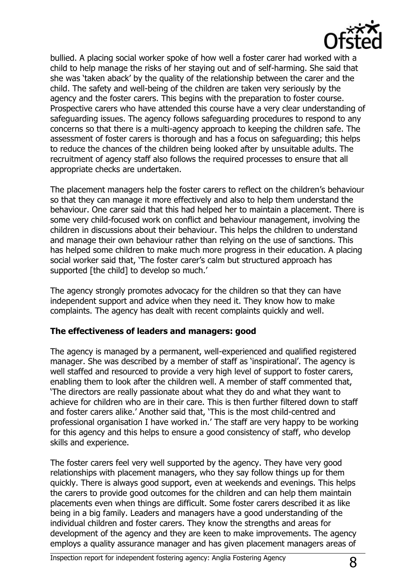

bullied. A placing social worker spoke of how well a foster carer had worked with a child to help manage the risks of her staying out and of self-harming. She said that she was 'taken aback' by the quality of the relationship between the carer and the child. The safety and well-being of the children are taken very seriously by the agency and the foster carers. This begins with the preparation to foster course. Prospective carers who have attended this course have a very clear understanding of safeguarding issues. The agency follows safeguarding procedures to respond to any concerns so that there is a multi-agency approach to keeping the children safe. The assessment of foster carers is thorough and has a focus on safeguarding; this helps to reduce the chances of the children being looked after by unsuitable adults. The recruitment of agency staff also follows the required processes to ensure that all appropriate checks are undertaken.

The placement managers help the foster carers to reflect on the children's behaviour so that they can manage it more effectively and also to help them understand the behaviour. One carer said that this had helped her to maintain a placement. There is some very child-focused work on conflict and behaviour management, involving the children in discussions about their behaviour. This helps the children to understand and manage their own behaviour rather than relying on the use of sanctions. This has helped some children to make much more progress in their education. A placing social worker said that, 'The foster carer's calm but structured approach has supported [the child] to develop so much.'

The agency strongly promotes advocacy for the children so that they can have independent support and advice when they need it. They know how to make complaints. The agency has dealt with recent complaints quickly and well.

#### **The effectiveness of leaders and managers: good**

The agency is managed by a permanent, well-experienced and qualified registered manager. She was described by a member of staff as 'inspirational'. The agency is well staffed and resourced to provide a very high level of support to foster carers, enabling them to look after the children well. A member of staff commented that, 'The directors are really passionate about what they do and what they want to achieve for children who are in their care. This is then further filtered down to staff and foster carers alike.' Another said that, 'This is the most child-centred and professional organisation I have worked in.' The staff are very happy to be working for this agency and this helps to ensure a good consistency of staff, who develop skills and experience.

The foster carers feel very well supported by the agency. They have very good relationships with placement managers, who they say follow things up for them quickly. There is always good support, even at weekends and evenings. This helps the carers to provide good outcomes for the children and can help them maintain placements even when things are difficult. Some foster carers described it as like being in a big family. Leaders and managers have a good understanding of the individual children and foster carers. They know the strengths and areas for development of the agency and they are keen to make improvements. The agency employs a quality assurance manager and has given placement managers areas of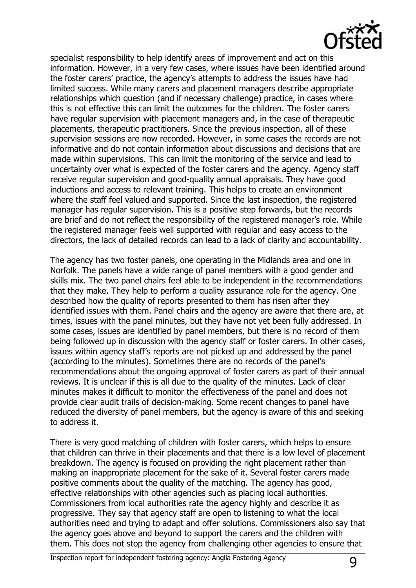

specialist responsibility to help identify areas of improvement and act on this information. However, in a very few cases, where issues have been identified around the foster carers' practice, the agency's attempts to address the issues have had limited success. While many carers and placement managers describe appropriate relationships which question (and if necessary challenge) practice, in cases where this is not effective this can limit the outcomes for the children. The foster carers have regular supervision with placement managers and, in the case of therapeutic placements, therapeutic practitioners. Since the previous inspection, all of these supervision sessions are now recorded. However, in some cases the records are not informative and do not contain information about discussions and decisions that are made within supervisions. This can limit the monitoring of the service and lead to uncertainty over what is expected of the foster carers and the agency. Agency staff receive regular supervision and good-quality annual appraisals. They have good inductions and access to relevant training. This helps to create an environment where the staff feel valued and supported. Since the last inspection, the registered manager has regular supervision. This is a positive step forwards, but the records are brief and do not reflect the responsibility of the registered manager's role. While the registered manager feels well supported with regular and easy access to the directors, the lack of detailed records can lead to a lack of clarity and accountability.

The agency has two foster panels, one operating in the Midlands area and one in Norfolk. The panels have a wide range of panel members with a good gender and skills mix. The two panel chairs feel able to be independent in the recommendations that they make. They help to perform a quality assurance role for the agency. One described how the quality of reports presented to them has risen after they identified issues with them. Panel chairs and the agency are aware that there are, at times, issues with the panel minutes, but they have not yet been fully addressed. In some cases, issues are identified by panel members, but there is no record of them being followed up in discussion with the agency staff or foster carers. In other cases, issues within agency staff's reports are not picked up and addressed by the panel (according to the minutes). Sometimes there are no records of the panel's recommendations about the ongoing approval of foster carers as part of their annual reviews. It is unclear if this is all due to the quality of the minutes. Lack of clear minutes makes it difficult to monitor the effectiveness of the panel and does not provide clear audit trails of decision-making. Some recent changes to panel have reduced the diversity of panel members, but the agency is aware of this and seeking to address it.

There is very good matching of children with foster carers, which helps to ensure that children can thrive in their placements and that there is a low level of placement breakdown. The agency is focused on providing the right placement rather than making an inappropriate placement for the sake of it. Several foster carers made positive comments about the quality of the matching. The agency has good, effective relationships with other agencies such as placing local authorities. Commissioners from local authorities rate the agency highly and describe it as progressive. They say that agency staff are open to listening to what the local authorities need and trying to adapt and offer solutions. Commissioners also say that the agency goes above and beyond to support the carers and the children with them. This does not stop the agency from challenging other agencies to ensure that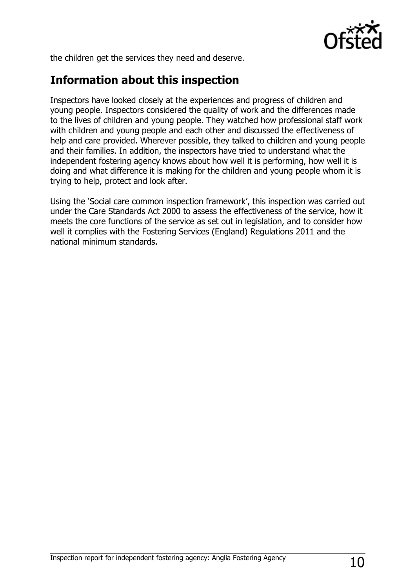

the children get the services they need and deserve.

## **Information about this inspection**

Inspectors have looked closely at the experiences and progress of children and young people. Inspectors considered the quality of work and the differences made to the lives of children and young people. They watched how professional staff work with children and young people and each other and discussed the effectiveness of help and care provided. Wherever possible, they talked to children and young people and their families. In addition, the inspectors have tried to understand what the independent fostering agency knows about how well it is performing, how well it is doing and what difference it is making for the children and young people whom it is trying to help, protect and look after.

Using the 'Social care common inspection framework', this inspection was carried out under the Care Standards Act 2000 to assess the effectiveness of the service, how it meets the core functions of the service as set out in legislation, and to consider how well it complies with the Fostering Services (England) Regulations 2011 and the national minimum standards.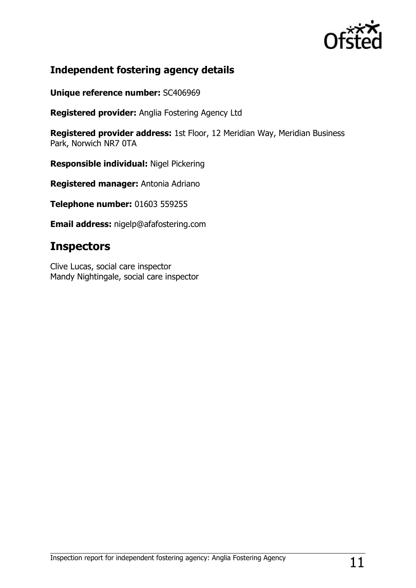

## **Independent fostering agency details**

**Unique reference number:** SC406969

**Registered provider:** Anglia Fostering Agency Ltd

**Registered provider address:** 1st Floor, 12 Meridian Way, Meridian Business Park, Norwich NR7 0TA

**Responsible individual:** Nigel Pickering

**Registered manager:** Antonia Adriano

**Telephone number:** 01603 559255

**Email address:** nigelp@afafostering.com

## **Inspectors**

Clive Lucas, social care inspector Mandy Nightingale, social care inspector